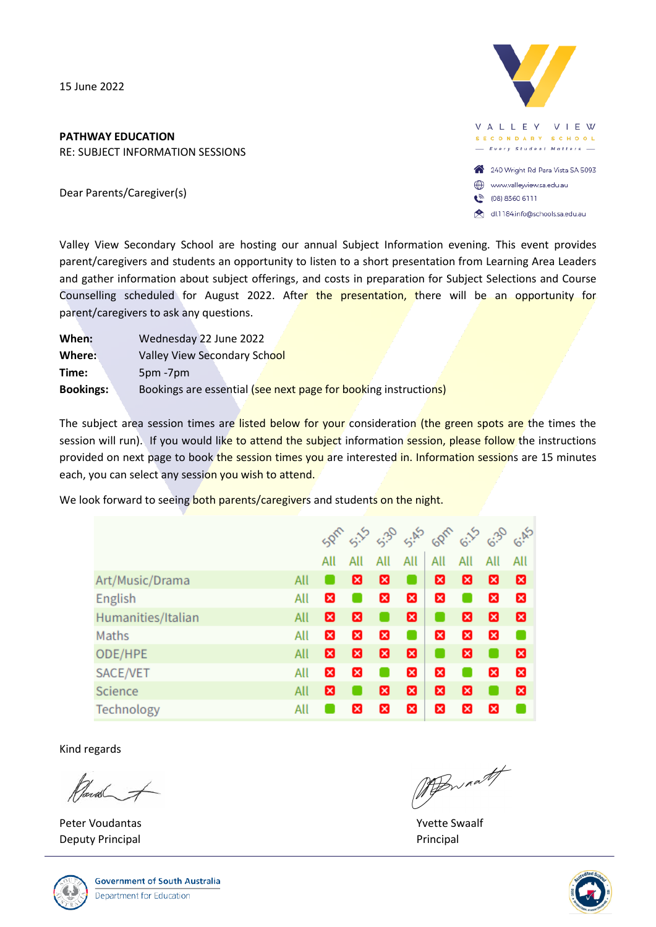15 June 2022

## **PATHWAY EDUCATION**

RE: SUBJECT INFORMATION SESSIONS

Dear Parents/Caregiver(s)



dl.1184.info@schools.sa.edu.au

Valley View Secondary School are hosting our annual Subject Information evening. This event provides parent/caregivers and students an opportunity to listen to a short presentation from Learning Area Leaders and gather information about subject offerings, and costs in preparation for Subject Selections and Course Counselling scheduled for August 2022. After the presentation, there will be an opportunity for parent/caregivers to ask any questions.

| When:            | Wednesday 22 June 2022                                          |
|------------------|-----------------------------------------------------------------|
| Where:           | Valley View Secondary School                                    |
| Time:            | 5pm -7pm                                                        |
| <b>Bookings:</b> | Bookings are essential (see next page for booking instructions) |
|                  |                                                                 |

The subject area session times are listed below for your consideration (the green spots are the times the session will run). If you would like to attend the subject information session, please follow the instructions provided on next page to book the session times you are interested in. Information sessions are 15 minutes each, you can select any session you wish to attend.

We look forward to seeing both parents/caregivers and students on the night.

|                           |     |     | 5.15 |     |             | 5.3 5.45 60fr 6.35 6.30 6.45 |     |     |              |
|---------------------------|-----|-----|------|-----|-------------|------------------------------|-----|-----|--------------|
|                           |     | All | All  | All | All         | All                          | All | All | All          |
| Art/Music/Drama<br>All    |     |     | ⊠    | ⊠   |             | ⊠                            | ⊠   | ⊠   | ⊠            |
| English                   |     | ×   |      | ×   | ×           | ×                            |     | ×   | $\mathbf x$  |
| Humanities/Italian<br>All |     | ⊠   | ⊠    |     | 図           |                              | ⊠   | ⊠   | ⊠            |
| Maths                     |     | ×   | ×    | ×   |             | ×                            | ×   | ×   |              |
| ODE/HPE                   | All | ⊠   | ⊠    | ⊠   | ⊠           |                              | ⊠   |     | ⊠            |
| SACE/VET                  | All | ×   | ×    |     | ×           | ×                            |     | ×   | $\mathbf{x}$ |
| All<br>Science            |     | ⊠   |      | Ø   | ⊠           | ⊠                            | ⊠   |     | ⊠            |
| All<br>Technology         |     |     | ×    | ×   | $\mathbf x$ | ×                            | ×   | ×   |              |

Kind regards

Planten of

Peter Voudantas National School and School and School and School and School and School and School and School and School and School and School and School and School and School and School and School and School and School and Deputy Principal **Principal Principal Principal Principal** Principal Principal Principal Principal Principal Principal Principal Principal Principal Principal Principal Principal Principal Principal Principal Principal Pri



MABWANT